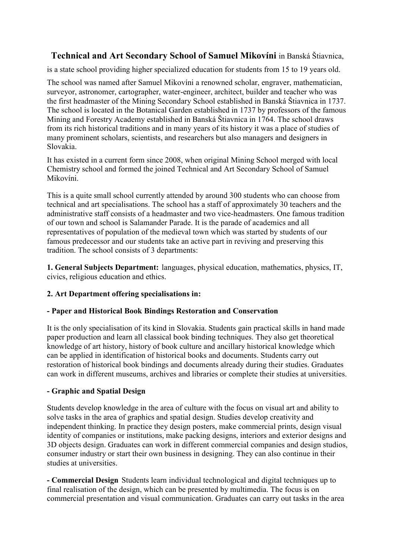# **Technical and Art Secondary School of Samuel Mikovíni** in Banská Štiavnica,

is a state school providing higher specialized education for students from 15 to 19 years old.

The school was named after Samuel Mikovíni a renowned scholar, engraver, mathematician, surveyor, astronomer, cartographer, water-engineer, architect, builder and teacher who was the first headmaster of the Mining Secondary School established in Banská Štiavnica in 1737. The school is located in the Botanical Garden established in 1737 by professors of the famous Mining and Forestry Academy established in Banská Štiavnica in 1764. The school draws from its rich historical traditions and in many years of its history it was a place of studies of many prominent scholars, scientists, and researchers but also managers and designers in Slovakia.

It has existed in a current form since 2008, when original Mining School merged with local Chemistry school and formed the joined Technical and Art Secondary School of Samuel Mikovíni.

This is a quite small school currently attended by around 300 students who can choose from technical and art specialisations. The school has a staff of approximately 30 teachers and the administrative staff consists of a headmaster and two vice-headmasters. One famous tradition of our town and school is Salamander Parade. It is the parade of academics and all representatives of population of the medieval town which was started by students of our famous predecessor and our students take an active part in reviving and preserving this tradition. The school consists of 3 departments:

**1. General Subjects Department:** languages, physical education, mathematics, physics, IT, civics, religious education and ethics.

## **2. Art Department offering specialisations in:**

### **- Paper and Historical Book Bindings Restoration and Conservation**

It is the only specialisation of its kind in Slovakia. Students gain practical skills in hand made paper production and learn all classical book binding techniques. They also get theoretical knowledge of art history, history of book culture and ancillary historical knowledge which can be applied in identification of historical books and documents. Students carry out restoration of historical book bindings and documents already during their studies. Graduates can work in different museums, archives and libraries or complete their studies at universities.

### **- Graphic and Spatial Design**

Students develop knowledge in the area of culture with the focus on visual art and ability to solve tasks in the area of graphics and spatial design. Studies develop creativity and independent thinking. In practice they design posters, make commercial prints, design visual identity of companies or institutions, make packing designs, interiors and exterior designs and 3D objects design. Graduates can work in different commercial companies and design studios, consumer industry or start their own business in designing. They can also continue in their studies at universities.

**- Commercial Design** Students learn individual technological and digital techniques up to final realisation of the design, which can be presented by multimedia. The focus is on commercial presentation and visual communication. Graduates can carry out tasks in the area